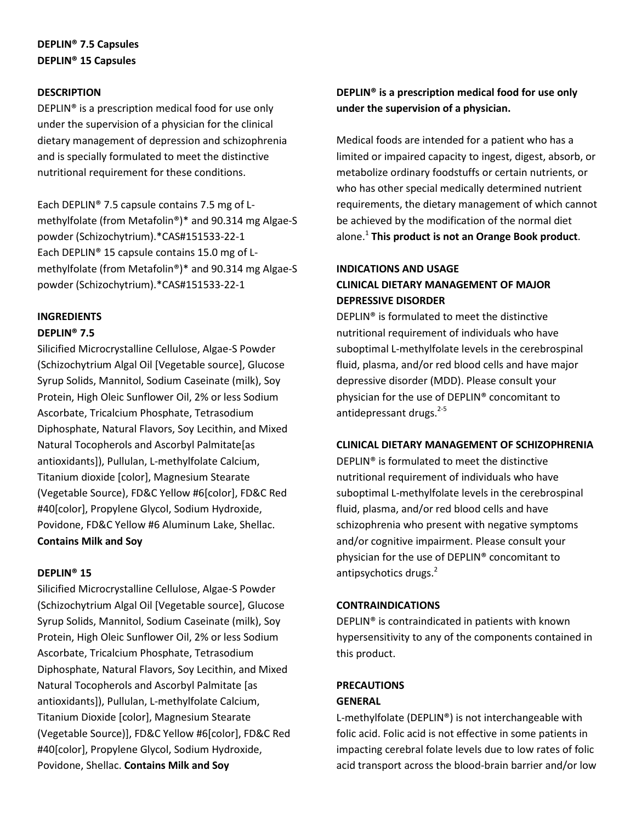# **DEPLIN® 7.5 Capsules DEPLIN® 15 Capsules**

### **DESCRIPTION**

DEPLIN® is a prescription medical food for use only under the supervision of a physician for the clinical dietary management of depression and schizophrenia and is specially formulated to meet the distinctive nutritional requirement for these conditions.

Each DEPLIN® 7.5 capsule contains 7.5 mg of Lmethylfolate (from Metafolin®)\* and 90.314 mg Algae-S powder (Schizochytrium).\*CAS#151533-22-1 Each DEPLIN® 15 capsule contains 15.0 mg of Lmethylfolate (from Metafolin®)\* and 90.314 mg Algae-S powder (Schizochytrium).\*CAS#151533-22-1

# **INGREDIENTS**

# **DEPLIN® 7.5**

Silicified Microcrystalline Cellulose, Algae-S Powder (Schizochytrium Algal Oil [Vegetable source], Glucose Syrup Solids, Mannitol, Sodium Caseinate (milk), Soy Protein, High Oleic Sunflower Oil, 2% or less Sodium Ascorbate, Tricalcium Phosphate, Tetrasodium Diphosphate, Natural Flavors, Soy Lecithin, and Mixed Natural Tocopherols and Ascorbyl Palmitate[as antioxidants]), Pullulan, L-methylfolate Calcium, Titanium dioxide [color], Magnesium Stearate (Vegetable Source), FD&C Yellow #6[color], FD&C Red #40[color], Propylene Glycol, Sodium Hydroxide, Povidone, FD&C Yellow #6 Aluminum Lake, Shellac. **Contains Milk and Soy**

#### **DEPLIN® 15**

Silicified Microcrystalline Cellulose, Algae-S Powder (Schizochytrium Algal Oil [Vegetable source], Glucose Syrup Solids, Mannitol, Sodium Caseinate (milk), Soy Protein, High Oleic Sunflower Oil, 2% or less Sodium Ascorbate, Tricalcium Phosphate, Tetrasodium Diphosphate, Natural Flavors, Soy Lecithin, and Mixed Natural Tocopherols and Ascorbyl Palmitate [as antioxidants]), Pullulan, L-methylfolate Calcium, Titanium Dioxide [color], Magnesium Stearate (Vegetable Source)], FD&C Yellow #6[color], FD&C Red #40[color], Propylene Glycol, Sodium Hydroxide, Povidone, Shellac. **Contains Milk and Soy**

# **DEPLIN® is a prescription medical food for use only under the supervision of a physician.**

Medical foods are intended for a patient who has a limited or impaired capacity to ingest, digest, absorb, or metabolize ordinary foodstuffs or certain nutrients, or who has other special medically determined nutrient requirements, the dietary management of which cannot be achieved by the modification of the normal diet alone.<sup>1</sup> **This product is not an Orange Book product**.

# **INDICATIONS AND USAGE CLINICAL DIETARY MANAGEMENT OF MAJOR DEPRESSIVE DISORDER**

DEPLIN® is formulated to meet the distinctive nutritional requirement of individuals who have suboptimal L-methylfolate levels in the cerebrospinal fluid, plasma, and/or red blood cells and have major depressive disorder (MDD). Please consult your physician for the use of DEPLIN® concomitant to antidepressant drugs.<sup>2-5</sup>

### **CLINICAL DIETARY MANAGEMENT OF SCHIZOPHRENIA**

DEPLIN® is formulated to meet the distinctive nutritional requirement of individuals who have suboptimal L-methylfolate levels in the cerebrospinal fluid, plasma, and/or red blood cells and have schizophrenia who present with negative symptoms and/or cognitive impairment. Please consult your physician for the use of DEPLIN® concomitant to antipsychotics drugs.<sup>2</sup>

### **CONTRAINDICATIONS**

DEPLIN® is contraindicated in patients with known hypersensitivity to any of the components contained in this product.

# **PRECAUTIONS**

### **GENERAL**

L-methylfolate (DEPLIN®) is not interchangeable with folic acid. Folic acid is not effective in some patients in impacting cerebral folate levels due to low rates of folic acid transport across the blood-brain barrier and/or low